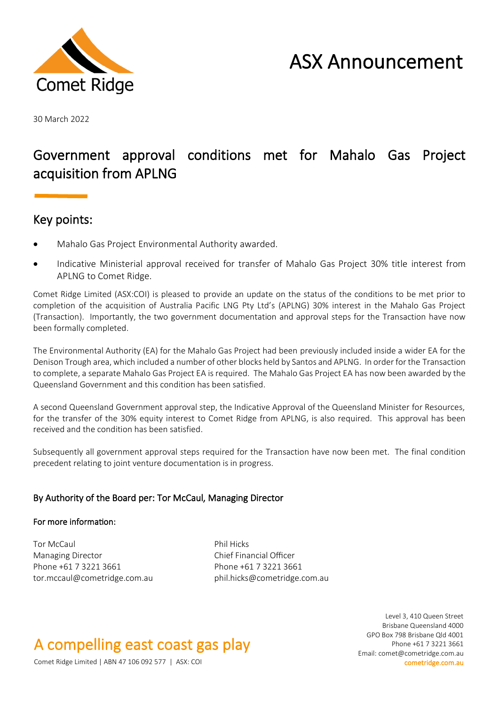

# ASX Announcement

30 March 2022

### Government approval conditions met for Mahalo Gas Project acquisition from APLNG

### Key points:

- Mahalo Gas Project Environmental Authority awarded.
- Indicative Ministerial approval received for transfer of Mahalo Gas Project 30% title interest from APLNG to Comet Ridge.

Comet Ridge Limited (ASX:COI) is pleased to provide an update on the status of the conditions to be met prior to completion of the acquisition of Australia Pacific LNG Pty Ltd's (APLNG) 30% interest in the Mahalo Gas Project (Transaction). Importantly, the two government documentation and approval steps for the Transaction have now been formally completed.

The Environmental Authority (EA) for the Mahalo Gas Project had been previously included inside a wider EA for the Denison Trough area, which included a number of other blocks held by Santos and APLNG. In order for the Transaction to complete, a separate Mahalo Gas Project EA is required. The Mahalo Gas Project EA has now been awarded by the Queensland Government and this condition has been satisfied.

A second Queensland Government approval step, the Indicative Approval of the Queensland Minister for Resources, for the transfer of the 30% equity interest to Comet Ridge from APLNG, is also required. This approval has been received and the condition has been satisfied.

Subsequently all government approval steps required for the Transaction have now been met. The final condition precedent relating to joint venture documentation is in progress.

#### By Authority of the Board per: Tor McCaul, Managing Director

#### For more information:

Tor McCaul **Phil Hicks** Managing Director **Chief Financial Officer** Phone +61 7 3221 3661 Phone +61 7 3221 3661 tor.mccaul@cometridge.com.au phil.hicks@cometridge.com.au

## A compelling east coast gas play

Level 3, 410 Queen Street Brisbane Queensland 4000 GPO Box 798 Brisbane Qld 4001 Phone +61 7 3221 3661 Email: comet@cometridge.com.au

Comet Ridge Limited | ABN 47 106 092 577 | ASX: COI cometridge.com.au cometridge.com.au